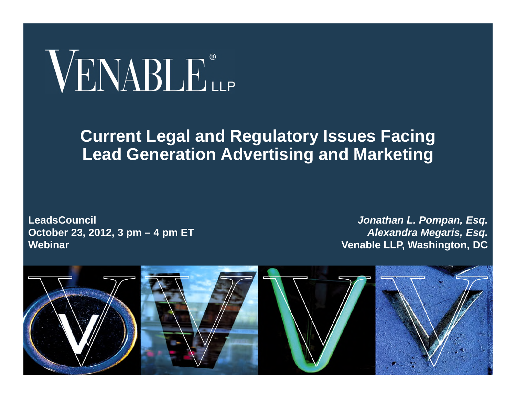# VENABLE®

#### **Current Legal and Regulatory Issues Facing Lead Generation Advertising and Marketing**

**LeadsCouncil October 23, 2012, 3 pm – 4 pm ET Webinar**

*Jonathan L. Pompan, Esq. Alexandra Megaris, Esq.* **Venable LLP, Washington, DC**

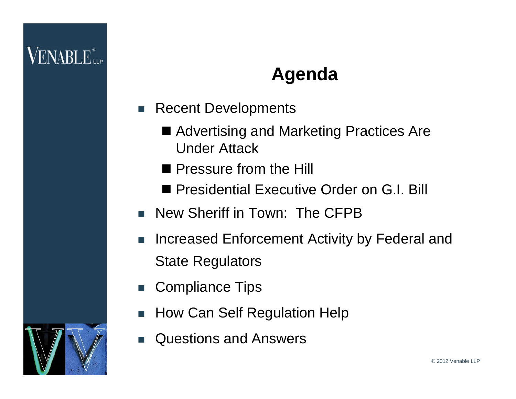### VENABLE"<sub>he</sub>

#### **Agenda**

- Recent Developments
	- Advertising and Marketing Practices Are Under Attack
	- **Pressure from the Hill**
	- **Presidential Executive Order on G.I. Bill**
- New Sheriff in Town: The CFPB
- Increased Enforcement Activity by Federal and State Regulators
- Compliance Tips
- How Can Self Regulation Help
- Questions and Answers

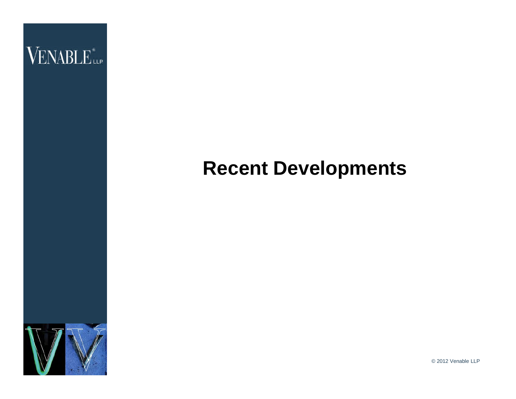

### **Recent Developments**

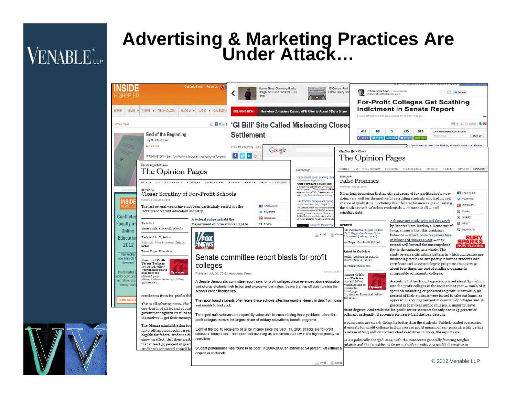## **VENABLE**<sup>\*</sup>

#### **Advertising & Marketing Practices Are Under Attack…**

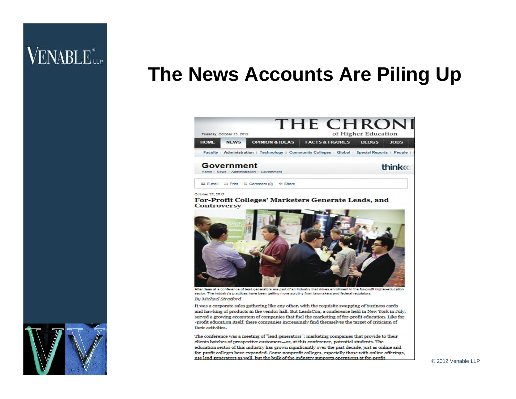### VENABLE<sup>\*</sup>

#### **The News Accounts Are Piling Up**



sector. The industry's practices have been getting more scrutiny from lawmakers and federal regulators. By Michael Stratford

It was a corporate sales gathering like any other, with the requisite swapping of business cards and hawking of products in the vendor hall. But LeadsCon, a conference held in New York in July, served a growing ecosystem of companies that fuel the marketing of for-profit education. Like for -profit education itself, these companies increasingly find themselves the target of criticism of their activities.

The conference was a meeting of "lead generators": marketing companies that provide to their clients batches of prospective customers-or, at this conference, potential students. The education sector of this industry has grown significantly over the past decade, just as online and for-profit colleges have expanded. Some nonprofit colleges, especially those with online offerings, use lead generators as well, but the bulk of the industry supports operations at for-profit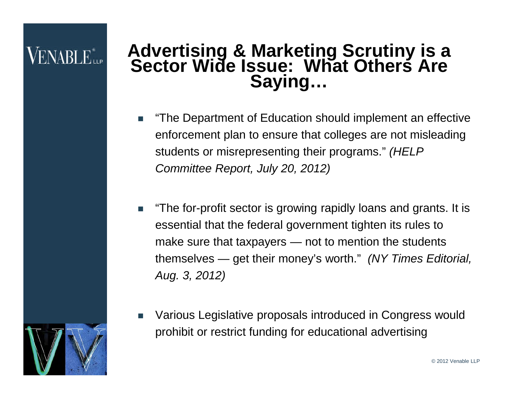### ENABLE<sup>®</sup>

#### **Advertising & Marketing Scrutiny is a Sector Wide Issue: What Others Are Saying…**

- "The Department of Education should implement an effective enforcement plan to ensure that colleges are not misleading students or misrepresenting their programs." *(HELP Committee Report, July 20, 2012)*
- "The for-profit sector is growing rapidly loans and grants. It is essential that the federal government tighten its rules to make sure that taxpayers — not to mention the students themselves — get their money's worth." *(NY Times Editorial, Aug. 3, 2012)*
- Various Legislative proposals introduced in Congress would prohibit or restrict funding for educational advertising

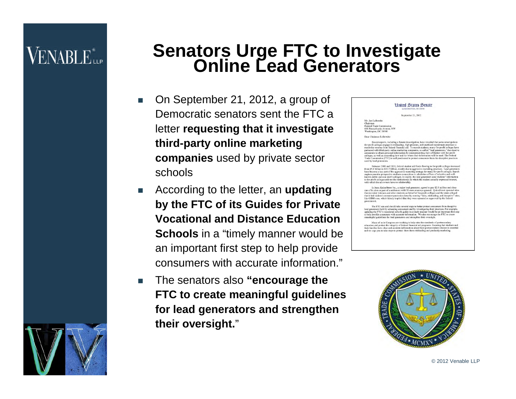### **VENABLE**<sup>\*</sup>

#### **Senators Urge FTC to Investigate Online Lead Generators**

- On September 21, 2012, a group of Democratic senators sent the FTC a letter **requesting that it investigate third-party online marketing companies** used by private sector schools
- According to the letter, an **updating by the FTC of its Guides for Private Vocational and Distance Education Schools** in a "timely manner would be an important first step to help provide consumers with accurate information."
- The senators also **"encourage the FTC to create meaningful guidelines for lead generators and strengthen their oversight.**"

#### **Limited States Senate**

Sentember 21, 2012

Mr. Jon Leibowitz Mr. Jon Leibowitz<br>Chairman<br>Federal Trade Coma<br>600 Pennsylvania A

at reports, including a Senare investigation, have revealed that some unscruptions energy in moleculing , high-pressure, and unrising the prediction to proper section series are the finite party continued the finite party

Retween 2001 and 2010, federal student aid funds flowing to for-profit colleges increase<br>on \$5.4 billion to \$32.2 billion, mostly due to aggressive recruiting practices. Lead generators<br>to bocome a key part of the aggressi nea promise prospective students connections to admission offices of selective and non-profit calculation (in the selective students) and the the student of the student of the student of the institution(s) in which the stu

In June, QuinnStreet Inc., a major lead generator, agreed to pay \$7.5 million and close<br>ne of its sites as part of a settlement with 20 state attorneys general. QuinnStreet operators and the same in<br>tat tecnicial velerant

The FTC can and should take several steps to better pro to the results and an union that exercise a construction process of the precise to the lead generators both by educating consumers and by investigating their practices. For example, updating the FTC's vocational schools gu

Many of us in Congress are working to help raise the standards of post<br>secondary education and protect the integrity of federal financial aid programs. Ensuring that students and<br>their families have clear and accurate inf

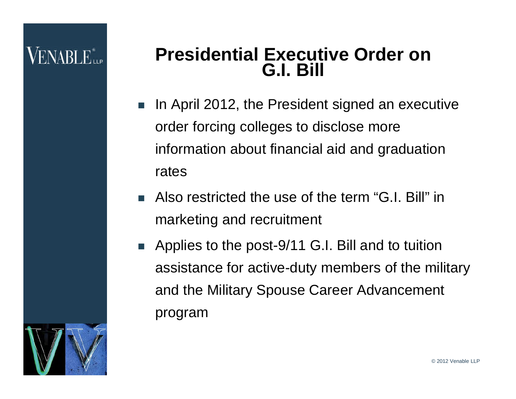#### **Presidential Executive Order on G.I. Bill**

- In April 2012, the President signed an executive order forcing colleges to disclose more information about financial aid and graduation rates
- Also restricted the use of the term "G.I. Bill" in marketing and recruitment
- Applies to the post-9/11 G.I. Bill and to tuition assistance for active-duty members of the military and the Military Spouse Career Advancement program

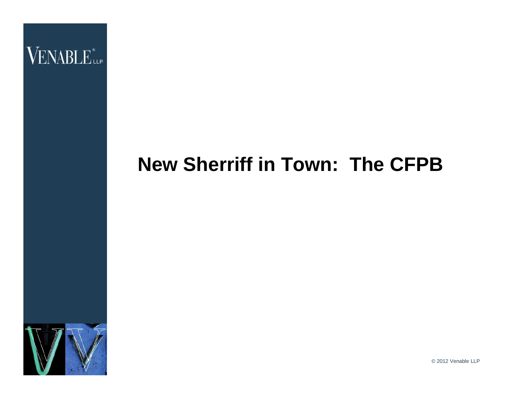

### **New Sherriff in Town: The CFPB**

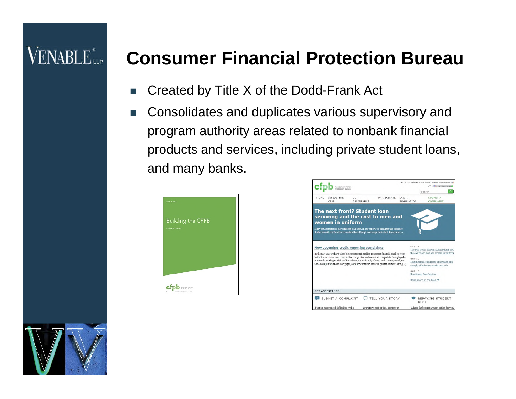### VENABLE<sup>®</sup>

#### **Consumer Financial Protection Bureau**

- Created by Title X of the Dodd-Frank Act
- Consolidates and duplicates various supervisory and program authority areas related to nonbank financial products and services, including private student loans, and many banks.





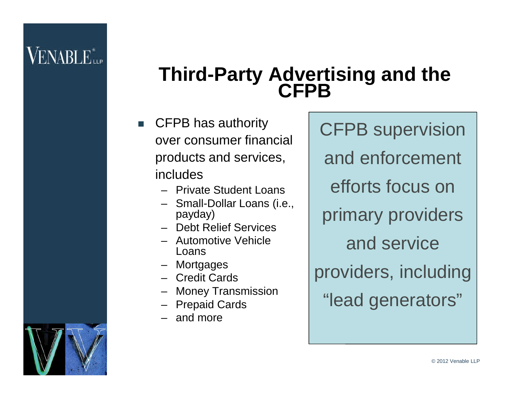### **VENABLE** ile

#### **Third-Party Advertising and the CFPB**

- CFPB has authority over consumer financial products and services, includes
	- Private Student Loans
	- Small-Dollar Loans (i.e., payday)
	- Debt Relief Services
	- Automotive Vehicle Loans
	- Mortgages
	- Credit Cards
	- Money Transmission
	- Prepaid Cards
	- and more

CFPB supervision and enforcement efforts focus on primary providers and service providers, including "lead generators"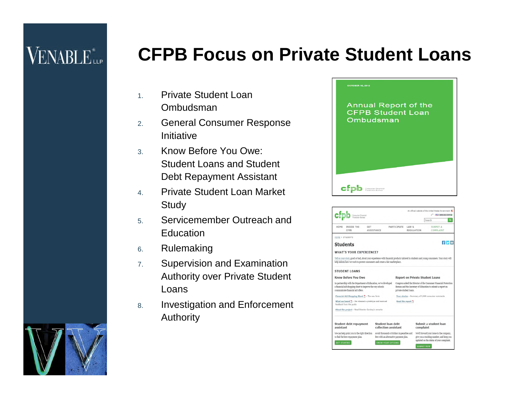### **VENABLE**<sup>\*</sup>

#### **CFPB Focus on Private Student Loans**

- 1. Private Student Loan Ombudsman
- 2. General Consumer Response Initiative
- 3. Know Before You Owe: Student Loans and Student Debt Repayment Assistant
- 4. Private Student Loan Market **Study**
- 5. Servicemember Outreach and **Education**
- 6. Rulemaking
- 7. Supervision and Examination Authority over Private Student Loans
- 8. Investigation and Enforcement Authority





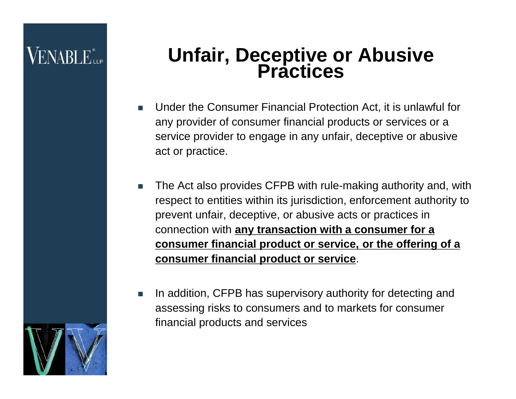#### **Unfair, Deceptive or Abusive Practices**

- Under the Consumer Financial Protection Act, it is unlawful for any provider of consumer financial products or services or a service provider to engage in any unfair, deceptive or abusive act or practice.
- The Act also provides CFPB with rule-making authority and, with respect to entities within its jurisdiction, enforcement authority to prevent unfair, deceptive, or abusive acts or practices in connection with **any transaction with a consumer for a consumer financial product or service, or the offering of a consumer financial product or service**.
- In addition, CFPB has supervisory authority for detecting and assessing risks to consumers and to markets for consumer financial products and services

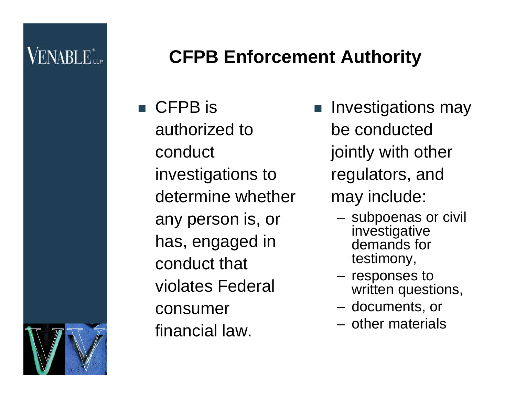### **VENABLE** ile

#### **CFPB Enforcement Authority**

■ CFPB is authorized to conduct investigations to determine whether any person is, or has, engaged in conduct that violates Federal consumer financial law.

- **Investigations may** be conducted jointly with other regulators, and may include:
	- subpoenas or civil investigative demands for testimony,
	- responses to written questions,
	- documents, or
	- other materials

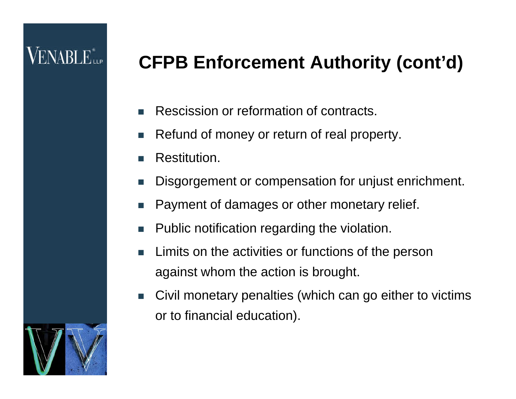### VENABLE"<sub>he</sub>

### **CFPB Enforcement Authority (cont'd)**

- Rescission or reformation of contracts.
- Refund of money or return of real property.
- Restitution.
- Disgorgement or compensation for unjust enrichment.
- Payment of damages or other monetary relief.
- Public notification regarding the violation.
- Limits on the activities or functions of the person against whom the action is brought.
- Civil monetary penalties (which can go either to victims or to financial education).

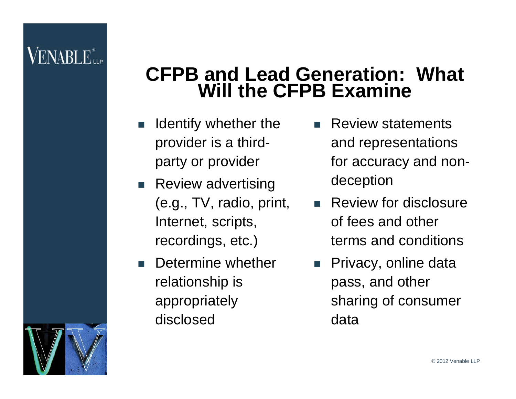#### **CFPB and Lead Generation: What Will the CFPB Examine**

- $\blacksquare$  Identify whether the provider is a thirdparty or provider
- **Review advertising** (e.g., TV, radio, print, Internet, scripts, recordings, etc.)
- **Determine whether** relationship is appropriately disclosed
- Review statements and representations for accuracy and nondeception
- Review for disclosure of fees and other terms and conditions
- **Privacy, online data** pass, and other sharing of consumer data

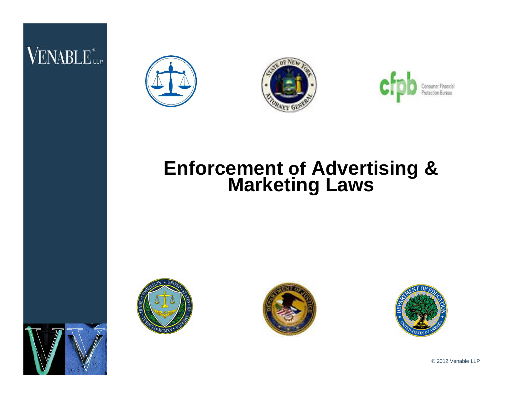### VENABLE<sup>®</sup>



![](_page_16_Picture_2.jpeg)

![](_page_16_Picture_3.jpeg)

#### **Enforcement of Advertising & Marketing Laws**

![](_page_16_Picture_5.jpeg)

![](_page_16_Picture_6.jpeg)

![](_page_16_Picture_7.jpeg)

![](_page_16_Picture_9.jpeg)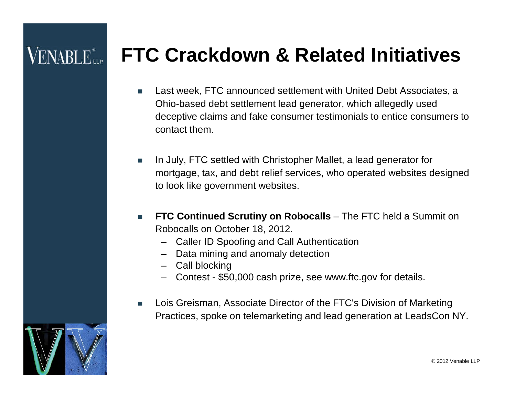### **VENABLE**

### **FTC Crackdown & Related Initiatives**

- Last week, FTC announced settlement with United Debt Associates, a Ohio-based debt settlement lead generator, which allegedly used deceptive claims and fake consumer testimonials to entice consumers to contact them.
- In July, FTC settled with Christopher Mallet, a lead generator for mortgage, tax, and debt relief services, who operated websites designed to look like government websites.
- **FTC Continued Scrutiny on Robocalls** The FTC held a Summit on Robocalls on October 18, 2012.
	- Caller ID Spoofing and Call Authentication
	- Data mining and anomaly detection
	- Call blocking
	- Contest \$50,000 cash prize, see www.ftc.gov for details.
- Lois Greisman, Associate Director of the FTC's Division of Marketing Practices, spoke on telemarketing and lead generation at LeadsCon NY.

![](_page_17_Picture_10.jpeg)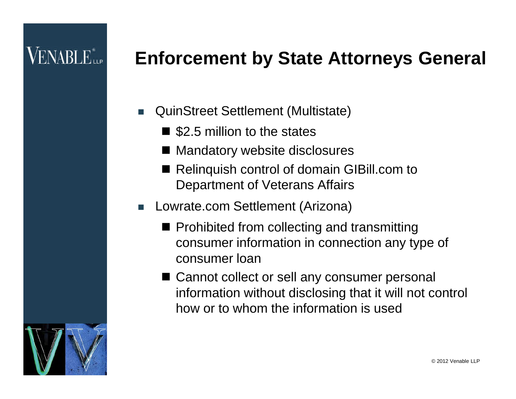### $\mathsf{VENABLE}^*_{\mathsf{HP}}$

#### **Enforcement by State Attorneys General**

- QuinStreet Settlement (Multistate)
	- $\blacksquare$  \$2.5 million to the states
	- Mandatory website disclosures
	- Relinquish control of domain GIBill.com to Department of Veterans Affairs
- Lowrate.com Settlement (Arizona)
	- $\blacksquare$  Prohibited from collecting and transmitting consumer information in connection any type of consumer loan
	- Cannot collect or sell any consumer personal information without disclosing that it will not control how or to whom the information is used

![](_page_18_Picture_9.jpeg)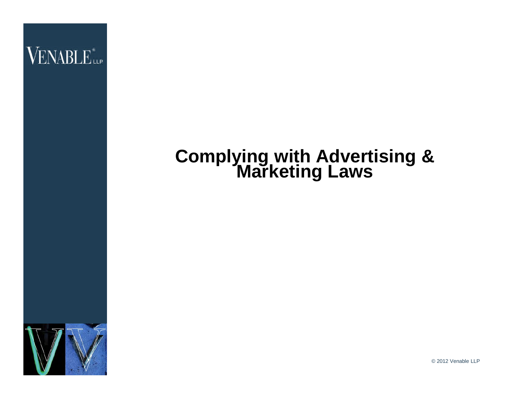![](_page_19_Picture_0.jpeg)

#### **Complying with Advertising & Marketing Laws**

![](_page_19_Picture_2.jpeg)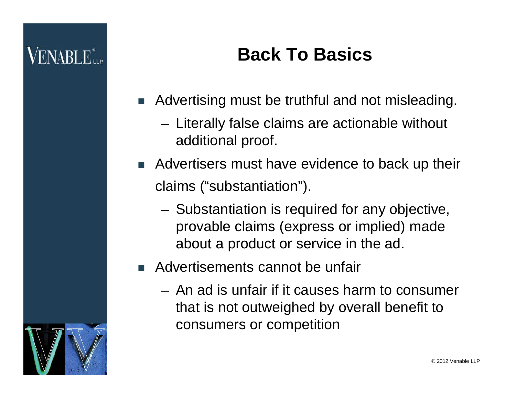### **Back To Basics**

- Advertising must be truthful and not misleading.
	- Literally false claims are actionable without additional proof.
- Advertisers must have evidence to back up their claims ("substantiation").
	- Substantiation is required for any objective, provable claims (express or implied) made about a product or service in the ad.

#### ■ Advertisements cannot be unfair

– An ad is unfair if it causes harm to consumer that is not outweighed by overall benefit to consumers or competition

![](_page_20_Picture_8.jpeg)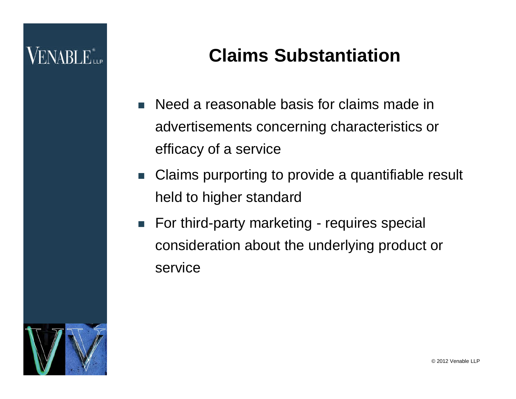#### **Claims Substantiation**

- Need a reasonable basis for claims made in advertisements concerning characteristics or efficacy of a service
- Claims purporting to provide a quantifiable result held to higher standard
- For third-party marketing requires special consideration about the underlying product or service

![](_page_21_Picture_5.jpeg)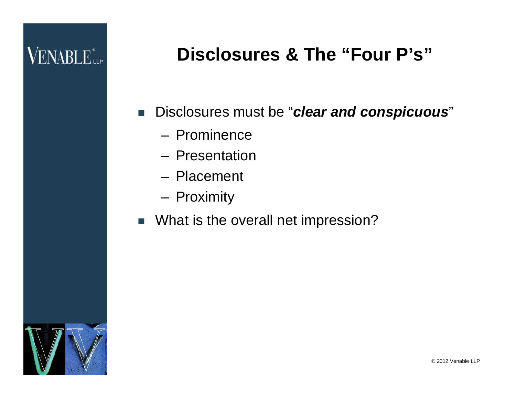### VENABLE<sup>\*</sup>

### **Disclosures & The "Four P's"**

- Disclosures must be "*clear and conspicuous*"
	- Prominence
	- Presentation
	- Placement
	- Proximity
- **No. 3 What is the overall net impression?**

![](_page_22_Picture_8.jpeg)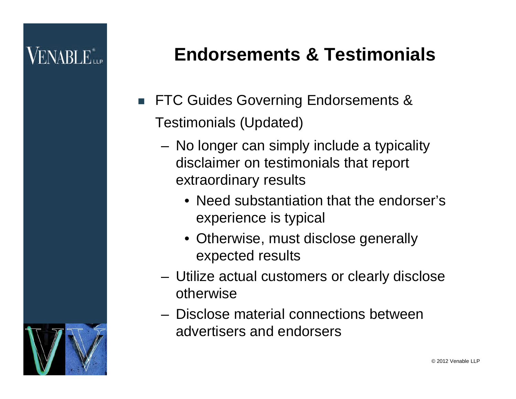### **Endorsements & Testimonials**

- **FTC Guides Governing Endorsements &** Testimonials (Updated)
	- No longer can simply include a typicality disclaimer on testimonials that report extraordinary results
		- Need substantiation that the endorser's experience is typical
		- Otherwise, must disclose generally expected results
	- Utilize actual customers or clearly disclose otherwise
	- Disclose material connections between advertisers and endorsers

![](_page_23_Picture_8.jpeg)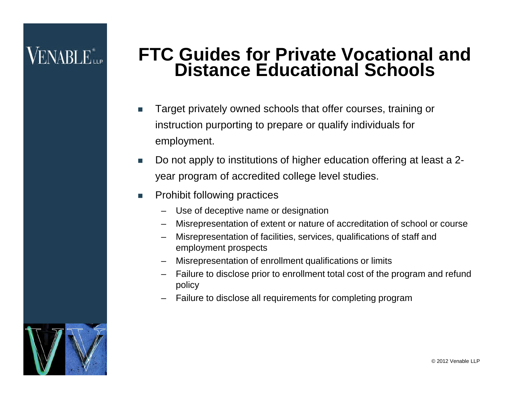#### **FTC Guides for Private Vocational and Distance Educational Schools**

- Target privately owned schools that offer courses, training or instruction purporting to prepare or qualify individuals for employment.
- Do not apply to institutions of higher education offering at least a 2 year program of accredited college level studies.
- **Prohibit following practices** 
	- Use of deceptive name or designation
	- Misrepresentation of extent or nature of accreditation of school or course
	- Misrepresentation of facilities, services, qualifications of staff and employment prospects
	- Misrepresentation of enrollment qualifications or limits
	- Failure to disclose prior to enrollment total cost of the program and refund policy
	- Failure to disclose all requirements for completing program

![](_page_24_Picture_11.jpeg)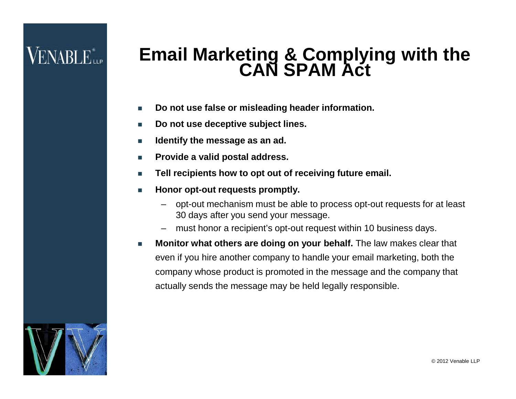#### **Email Marketing & Complying with the CAN SPAM Act**

- **Do not use false or misleading header information.**
- **Do not use deceptive subject lines.**
- **Identify the message as an ad.**
- **Provide a valid postal address.**
- Tell recipients how to opt out of receiving future email.
- **Honor opt-out requests promptly.** 
	- opt-out mechanism must be able to process opt-out requests for at least 30 days after you send your message.
	- must honor a recipient's opt-out request within 10 business days.
- **Monitor what others are doing on your behalf.** The law makes clear that even if you hire another company to handle your email marketing, both the company whose product is promoted in the message and the company that actually sends the message may be held legally responsible.

![](_page_25_Picture_11.jpeg)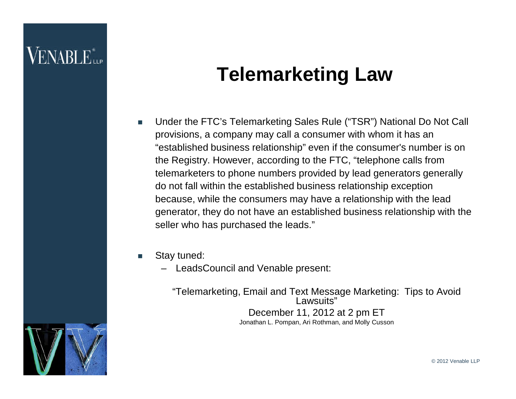### **VENABLE**

### **Telemarketing Law**

- Under the FTC's Telemarketing Sales Rule ("TSR") National Do Not Call provisions, a company may call a consumer with whom it has an "established business relationship" even if the consumer's number is on the Registry. However, according to the FTC, "telephone calls from telemarketers to phone numbers provided by lead generators generally do not fall within the established business relationship exception because, while the consumers may have a relationship with the lead generator, they do not have an established business relationship with the seller who has purchased the leads."
- Stay tuned:
	- LeadsCouncil and Venable present:

"Telemarketing, Email and Text Message Marketing: Tips to Avoid Lawsuits" December 11, 2012 at 2 pm ET Jonathan L. Pompan, Ari Rothman, and Molly Cusson

![](_page_26_Picture_6.jpeg)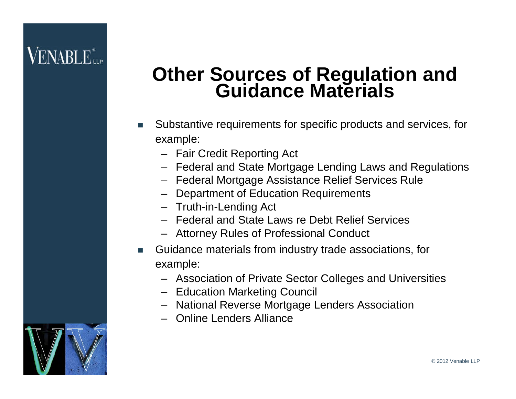### **VENABLE**

#### **Other Sources of Regulation and Guidance Materials**

- Substantive requirements for specific products and services, for example:
	- Fair Credit Reporting Act
	- Federal and State Mortgage Lending Laws and Regulations
	- Federal Mortgage Assistance Relief Services Rule
	- Department of Education Requirements
	- Truth-in-Lending Act
	- Federal and State Laws re Debt Relief Services
	- Attorney Rules of Professional Conduct
- Guidance materials from industry trade associations, for example:
	- Association of Private Sector Colleges and Universities
	- Education Marketing Council
	- National Reverse Mortgage Lenders Association
	- Online Lenders Alliance

![](_page_27_Picture_15.jpeg)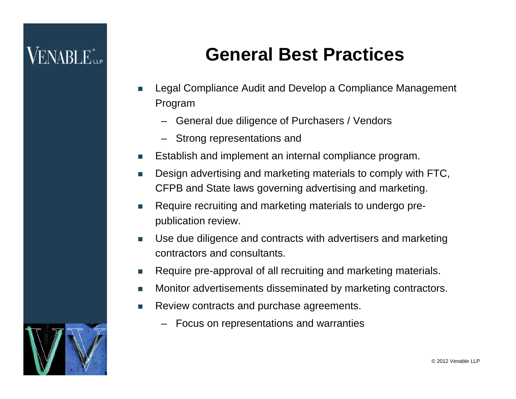#### **General Best Practices**

- Legal Compliance Audit and Develop a Compliance Management Program
	- General due diligence of Purchasers / Vendors
	- Strong representations and
- Establish and implement an internal compliance program.
- Design advertising and marketing materials to comply with FTC, CFPB and State laws governing advertising and marketing.
- Require recruiting and marketing materials to undergo prepublication review.
- Use due diligence and contracts with advertisers and marketing contractors and consultants.
- Require pre-approval of all recruiting and marketing materials.
- **Monitor advertisements disseminated by marketing contractors.**
- Review contracts and purchase agreements.
	- Focus on representations and warranties

![](_page_28_Picture_13.jpeg)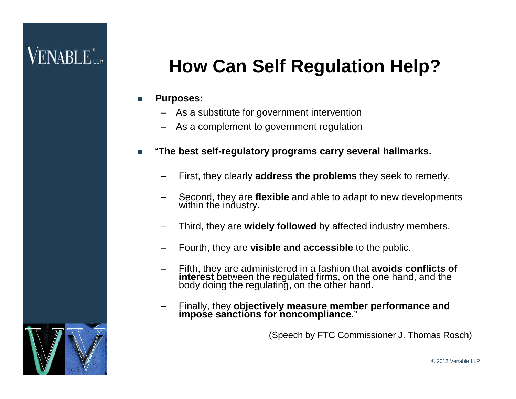### **VENABLE**

### **How Can Self Regulation Help?**

#### **Purposes:**

- As a substitute for government intervention
- As a complement to government regulation
- "**The best self-regulatory programs carry several hallmarks.**
	- First, they clearly **address the problems** they seek to remedy.
	- Second, they are **flexible** and able to adapt to new developments within the industry.
	- Third, they are **widely followed** by affected industry members.
	- Fourth, they are **visible and accessible** to the public.
	- Fifth, they are administered in a fashion that **avoids conflicts of interest** between the regulated firms, on the one hand, and the body doing the regulating, on the other hand.
	- Finally, they **objectively measure member performance and impose sanctions for noncompliance**."

(Speech by FTC Commissioner J. Thomas Rosch)

![](_page_29_Picture_13.jpeg)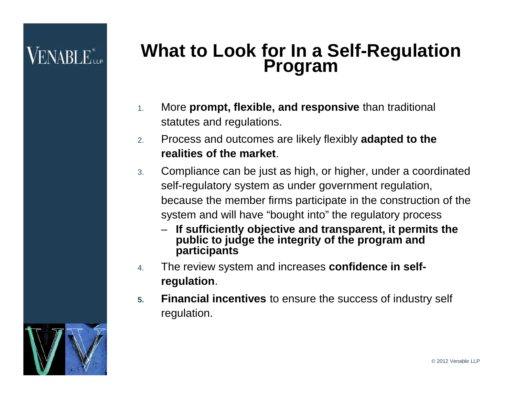## **VENABLE**

#### **What to Look for In a Self-Regulation Program**

- 1. More **prompt, flexible, and responsive** than traditional statutes and regulations.
- 2. Process and outcomes are likely flexibly **adapted to the realities of the market**.
- 3. Compliance can be just as high, or higher, under a coordinated self-regulatory system as under government regulation, because the member firms participate in the construction of the system and will have "bought into" the regulatory process
	- **If sufficiently objective and transparent, it permits the public to judge the integrity of the program and participants**
- 4. The review system and increases **confidence in selfregulation**.
- **5. Financial incentives** to ensure the success of industry self regulation.

![](_page_30_Picture_8.jpeg)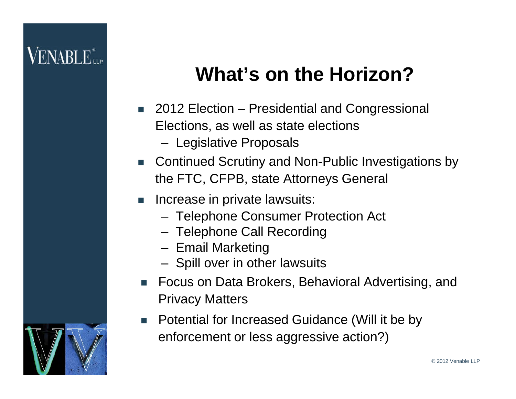### **What's on the Horizon?**

- 2012 Election Presidential and Congressional Elections, as well as state elections
	- Legislative Proposals
- Continued Scrutiny and Non-Public Investigations by the FTC, CFPB, state Attorneys General
- Increase in private lawsuits:
	- Telephone Consumer Protection Act
	- Telephone Call Recording
	- Email Marketing
	- Spill over in other lawsuits
- **Focus on Data Brokers, Behavioral Advertising, and** Privacy Matters
- Potential for Increased Guidance (Will it be by enforcement or less aggressive action?)

![](_page_31_Picture_12.jpeg)